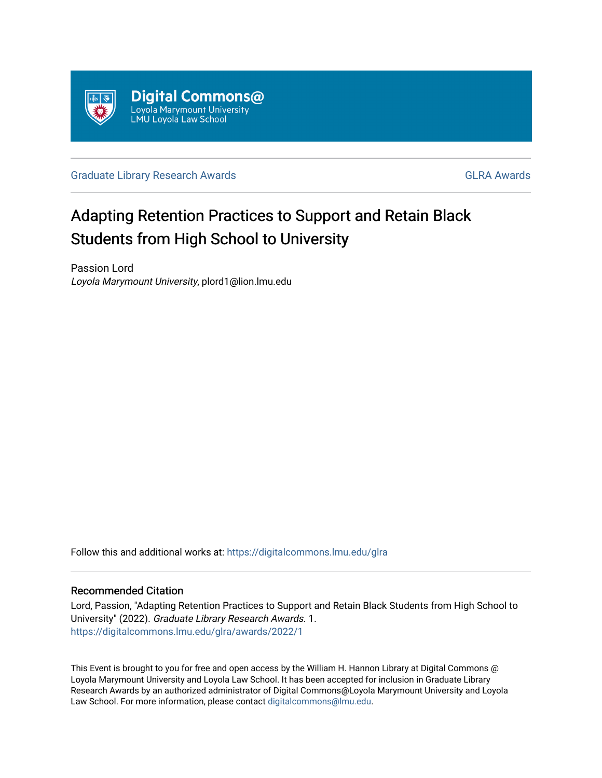

[Graduate Library Research Awards](https://digitalcommons.lmu.edu/glra) **GLA Awards** [GLRA Awards](https://digitalcommons.lmu.edu/glra/awards) **GLRA** Awards

## Adapting Retention Practices to Support and Retain Black Students from High School to University

Passion Lord Loyola Marymount University, plord1@lion.lmu.edu

Follow this and additional works at: [https://digitalcommons.lmu.edu/glra](https://digitalcommons.lmu.edu/glra?utm_source=digitalcommons.lmu.edu%2Fglra%2Fawards%2F2022%2F1&utm_medium=PDF&utm_campaign=PDFCoverPages) 

#### Recommended Citation

Lord, Passion, "Adapting Retention Practices to Support and Retain Black Students from High School to University" (2022). Graduate Library Research Awards. 1. [https://digitalcommons.lmu.edu/glra/awards/2022/1](https://digitalcommons.lmu.edu/glra/awards/2022/1?utm_source=digitalcommons.lmu.edu%2Fglra%2Fawards%2F2022%2F1&utm_medium=PDF&utm_campaign=PDFCoverPages) 

This Event is brought to you for free and open access by the William H. Hannon Library at Digital Commons @ Loyola Marymount University and Loyola Law School. It has been accepted for inclusion in Graduate Library Research Awards by an authorized administrator of Digital Commons@Loyola Marymount University and Loyola Law School. For more information, please contact [digitalcommons@lmu.edu.](mailto:digitalcommons@lmu.edu)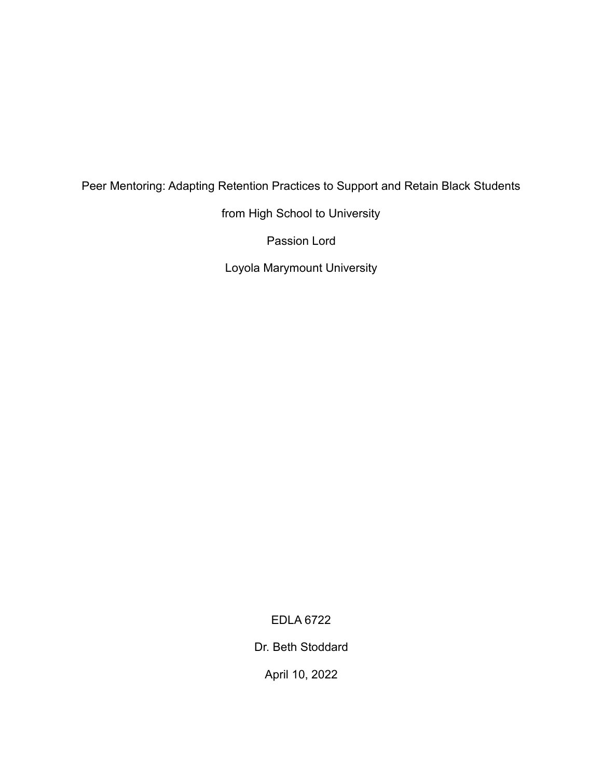## Peer Mentoring: Adapting Retention Practices to Support and Retain Black Students

from High School to University

Passion Lord

Loyola Marymount University

EDLA 6722

Dr. Beth Stoddard

April 10, 2022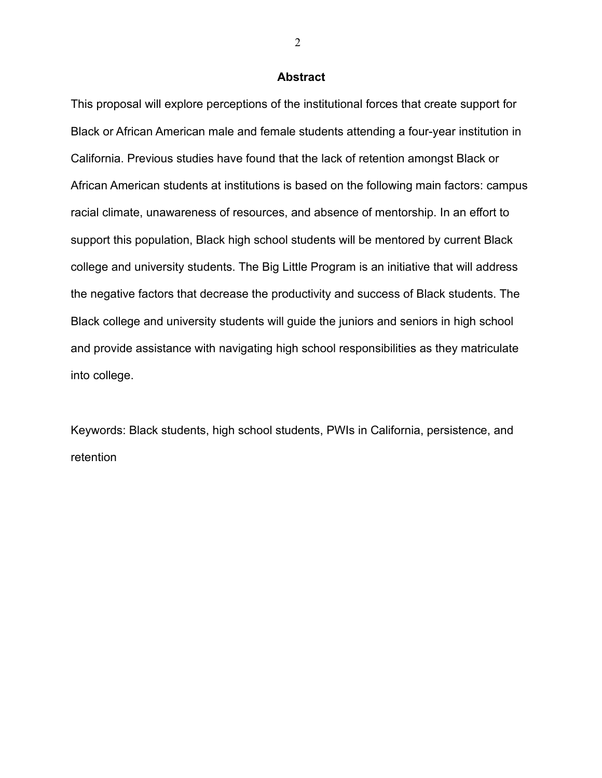#### **Abstract**

This proposal will explore perceptions of the institutional forces that create support for Black or African American male and female students attending a four-year institution in California. Previous studies have found that the lack of retention amongst Black or African American students at institutions is based on the following main factors: campus racial climate, unawareness of resources, and absence of mentorship. In an effort to support this population, Black high school students will be mentored by current Black college and university students. The Big Little Program is an initiative that will address the negative factors that decrease the productivity and success of Black students. The Black college and university students will guide the juniors and seniors in high school and provide assistance with navigating high school responsibilities as they matriculate into college.

Keywords: Black students, high school students, PWIs in California, persistence, and retention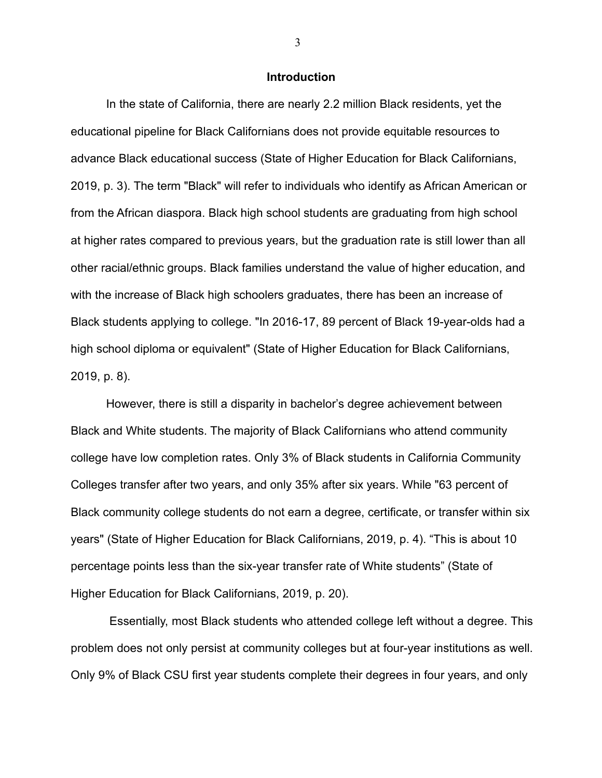#### **Introduction**

In the state of California, there are nearly 2.2 million Black residents, yet the educational pipeline for Black Californians does not provide equitable resources to advance Black educational success (State of Higher Education for Black Californians, 2019, p. 3). The term "Black" will refer to individuals who identify as African American or from the African diaspora. Black high school students are graduating from high school at higher rates compared to previous years, but the graduation rate is still lower than all other racial/ethnic groups. Black families understand the value of higher education, and with the increase of Black high schoolers graduates, there has been an increase of Black students applying to college. "In 2016-17, 89 percent of Black 19-year-olds had a high school diploma or equivalent" (State of Higher Education for Black Californians, 2019, p. 8).

However, there is still a disparity in bachelor's degree achievement between Black and White students. The majority of Black Californians who attend community college have low completion rates. Only 3% of Black students in California Community Colleges transfer after two years, and only 35% after six years. While "63 percent of Black community college students do not earn a degree, certificate, or transfer within six years" (State of Higher Education for Black Californians, 2019, p. 4). "This is about 10 percentage points less than the six-year transfer rate of White students" (State of Higher Education for Black Californians, 2019, p. 20).

Essentially, most Black students who attended college left without a degree. This problem does not only persist at community colleges but at four-year institutions as well. Only 9% of Black CSU first year students complete their degrees in four years, and only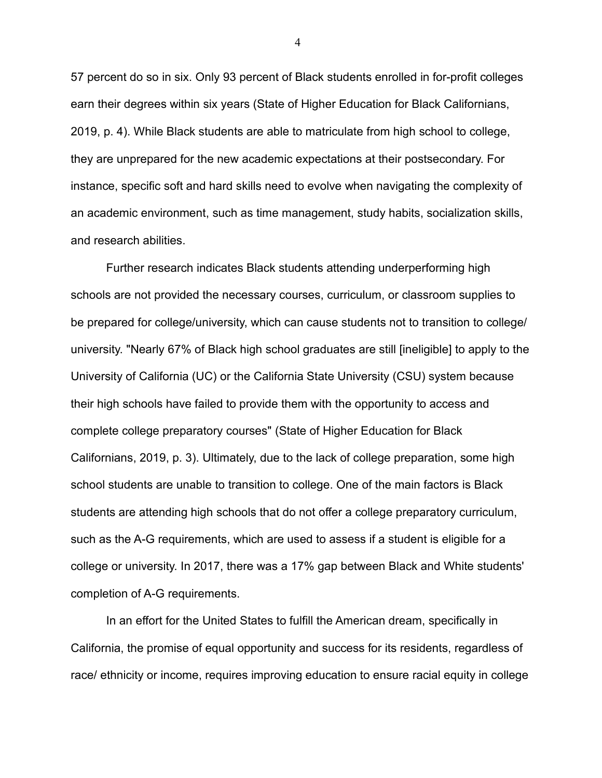57 percent do so in six. Only 93 percent of Black students enrolled in for-profit colleges earn their degrees within six years (State of Higher Education for Black Californians, 2019, p. 4). While Black students are able to matriculate from high school to college, they are unprepared for the new academic expectations at their postsecondary. For instance, specific soft and hard skills need to evolve when navigating the complexity of an academic environment, such as time management, study habits, socialization skills, and research abilities.

Further research indicates Black students attending underperforming high schools are not provided the necessary courses, curriculum, or classroom supplies to be prepared for college/university, which can cause students not to transition to college/ university. "Nearly 67% of Black high school graduates are still [ineligible] to apply to the University of California (UC) or the California State University (CSU) system because their high schools have failed to provide them with the opportunity to access and complete college preparatory courses" (State of Higher Education for Black Californians, 2019, p. 3). Ultimately, due to the lack of college preparation, some high school students are unable to transition to college. One of the main factors is Black students are attending high schools that do not offer a college preparatory curriculum, such as the A-G requirements, which are used to assess if a student is eligible for a college or university. In 2017, there was a 17% gap between Black and White students' completion of A-G requirements.

In an effort for the United States to fulfill the American dream, specifically in California, the promise of equal opportunity and success for its residents, regardless of race/ ethnicity or income, requires improving education to ensure racial equity in college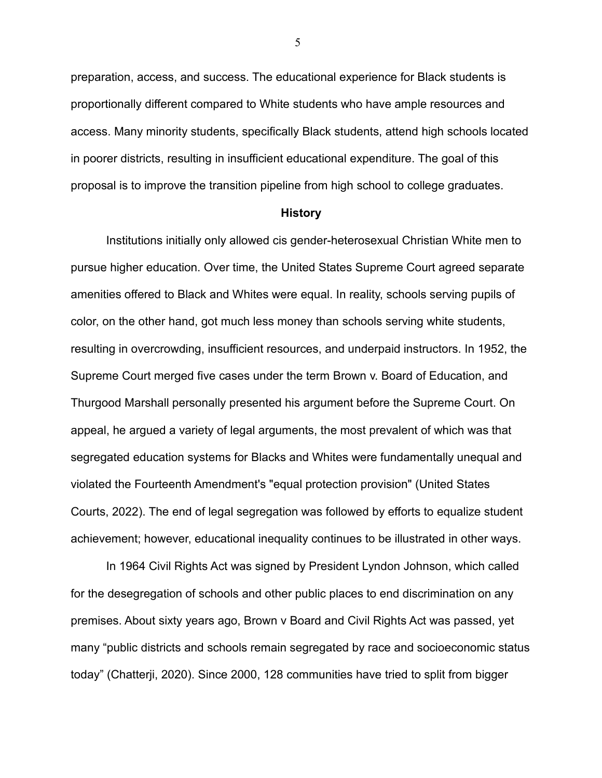preparation, access, and success. The educational experience for Black students is proportionally different compared to White students who have ample resources and access. Many minority students, specifically Black students, attend high schools located in poorer districts, resulting in insufficient educational expenditure. The goal of this proposal is to improve the transition pipeline from high school to college graduates.

#### **History**

Institutions initially only allowed cis gender-heterosexual Christian White men to pursue higher education. Over time, the United States Supreme Court agreed separate amenities offered to Black and Whites were equal. In reality, schools serving pupils of color, on the other hand, got much less money than schools serving white students, resulting in overcrowding, insufficient resources, and underpaid instructors. In 1952, the Supreme Court merged five cases under the term Brown v. Board of Education, and Thurgood Marshall personally presented his argument before the Supreme Court. On appeal, he argued a variety of legal arguments, the most prevalent of which was that segregated education systems for Blacks and Whites were fundamentally unequal and violated the Fourteenth Amendment's "equal protection provision" (United States Courts, 2022). The end of legal segregation was followed by efforts to equalize student achievement; however, educational inequality continues to be illustrated in other ways.

In 1964 Civil Rights Act was signed by President Lyndon Johnson, which called for the desegregation of schools and other public places to end discrimination on any premises. About sixty years ago, Brown v Board and Civil Rights Act was passed, yet many "public districts and schools remain segregated by race and socioeconomic status today" (Chatterji, 2020). Since 2000, 128 communities have tried to split from bigger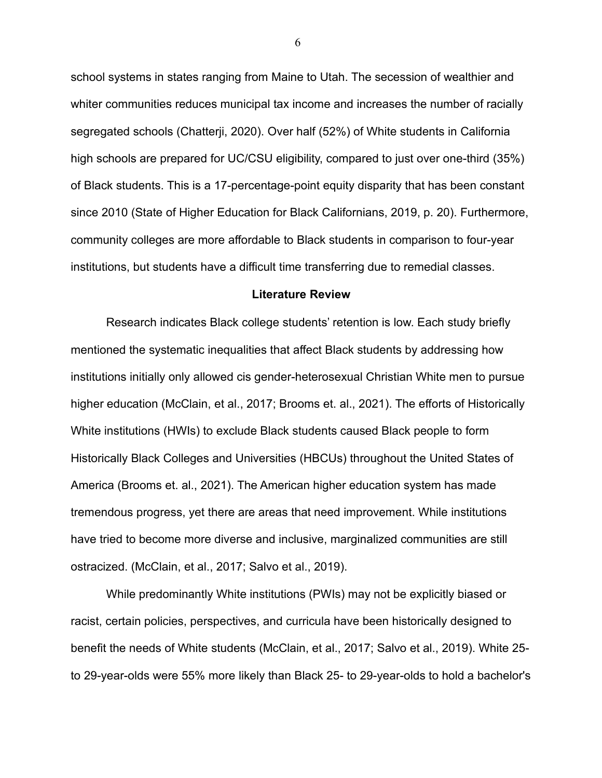school systems in states ranging from Maine to Utah. The secession of wealthier and whiter communities reduces municipal tax income and increases the number of racially segregated schools (Chatterji, 2020). Over half (52%) of White students in California high schools are prepared for UC/CSU eligibility, compared to just over one-third (35%) of Black students. This is a 17-percentage-point equity disparity that has been constant since 2010 (State of Higher Education for Black Californians, 2019, p. 20). Furthermore, community colleges are more affordable to Black students in comparison to four-year institutions, but students have a difficult time transferring due to remedial classes.

#### **Literature Review**

Research indicates Black college students' retention is low. Each study briefly mentioned the systematic inequalities that affect Black students by addressing how institutions initially only allowed cis gender-heterosexual Christian White men to pursue higher education (McClain, et al., 2017; Brooms et. al., 2021). The efforts of Historically White institutions (HWIs) to exclude Black students caused Black people to form Historically Black Colleges and Universities (HBCUs) throughout the United States of America (Brooms et. al., 2021). The American higher education system has made tremendous progress, yet there are areas that need improvement. While institutions have tried to become more diverse and inclusive, marginalized communities are still ostracized. (McClain, et al., 2017; Salvo et al., 2019).

While predominantly White institutions (PWIs) may not be explicitly biased or racist, certain policies, perspectives, and curricula have been historically designed to benefit the needs of White students (McClain, et al., 2017; Salvo et al., 2019). White 25 to 29-year-olds were 55% more likely than Black 25- to 29-year-olds to hold a bachelor's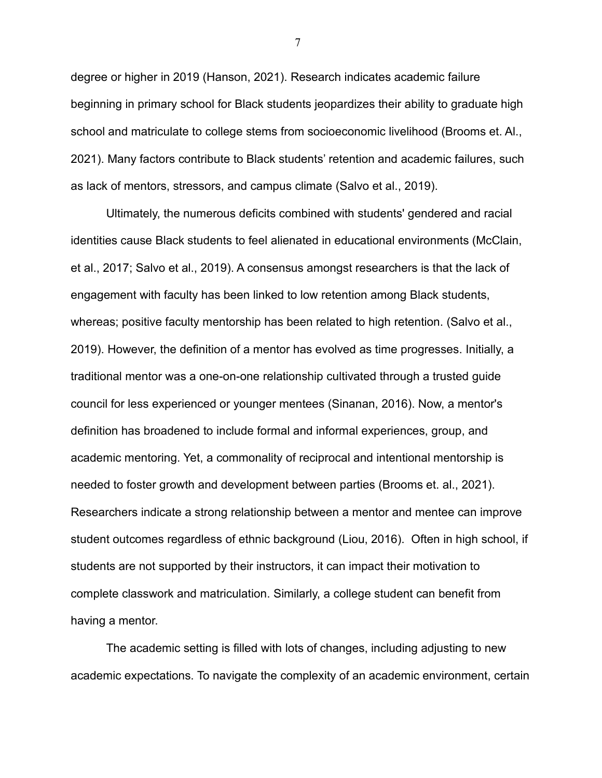degree or higher in 2019 (Hanson, 2021). Research indicates academic failure beginning in primary school for Black students jeopardizes their ability to graduate high school and matriculate to college stems from socioeconomic livelihood (Brooms et. Al., 2021). Many factors contribute to Black students' retention and academic failures, such as lack of mentors, stressors, and campus climate (Salvo et al., 2019).

Ultimately, the numerous deficits combined with students' gendered and racial identities cause Black students to feel alienated in educational environments (McClain, et al., 2017; Salvo et al., 2019). A consensus amongst researchers is that the lack of engagement with faculty has been linked to low retention among Black students, whereas; positive faculty mentorship has been related to high retention. (Salvo et al., 2019). However, the definition of a mentor has evolved as time progresses. Initially, a traditional mentor was a one-on-one relationship cultivated through a trusted guide council for less experienced or younger mentees (Sinanan, 2016). Now, a mentor's definition has broadened to include formal and informal experiences, group, and academic mentoring. Yet, a commonality of reciprocal and intentional mentorship is needed to foster growth and development between parties (Brooms et. al., 2021). Researchers indicate a strong relationship between a mentor and mentee can improve student outcomes regardless of ethnic background (Liou, 2016). Often in high school, if students are not supported by their instructors, it can impact their motivation to complete classwork and matriculation. Similarly, a college student can benefit from having a mentor.

The academic setting is filled with lots of changes, including adjusting to new academic expectations. To navigate the complexity of an academic environment, certain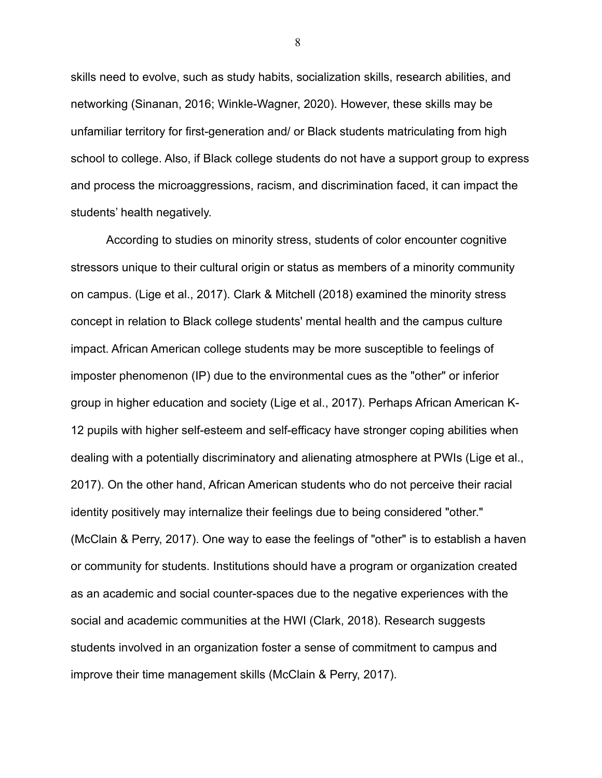skills need to evolve, such as study habits, socialization skills, research abilities, and networking (Sinanan, 2016; Winkle-Wagner, 2020). However, these skills may be unfamiliar territory for first-generation and/ or Black students matriculating from high school to college. Also, if Black college students do not have a support group to express and process the microaggressions, racism, and discrimination faced, it can impact the students' health negatively.

According to studies on minority stress, students of color encounter cognitive stressors unique to their cultural origin or status as members of a minority community on campus. (Lige et al., 2017). Clark & Mitchell (2018) examined the minority stress concept in relation to Black college students' mental health and the campus culture impact. African American college students may be more susceptible to feelings of imposter phenomenon (IP) due to the environmental cues as the "other" or inferior group in higher education and society (Lige et al., 2017). Perhaps African American K-12 pupils with higher self-esteem and self-efficacy have stronger coping abilities when dealing with a potentially discriminatory and alienating atmosphere at PWIs (Lige et al., 2017). On the other hand, African American students who do not perceive their racial identity positively may internalize their feelings due to being considered "other." (McClain & Perry, 2017). One way to ease the feelings of "other" is to establish a haven or community for students. Institutions should have a program or organization created as an academic and social counter-spaces due to the negative experiences with the social and academic communities at the HWI (Clark, 2018). Research suggests students involved in an organization foster a sense of commitment to campus and improve their time management skills (McClain & Perry, 2017).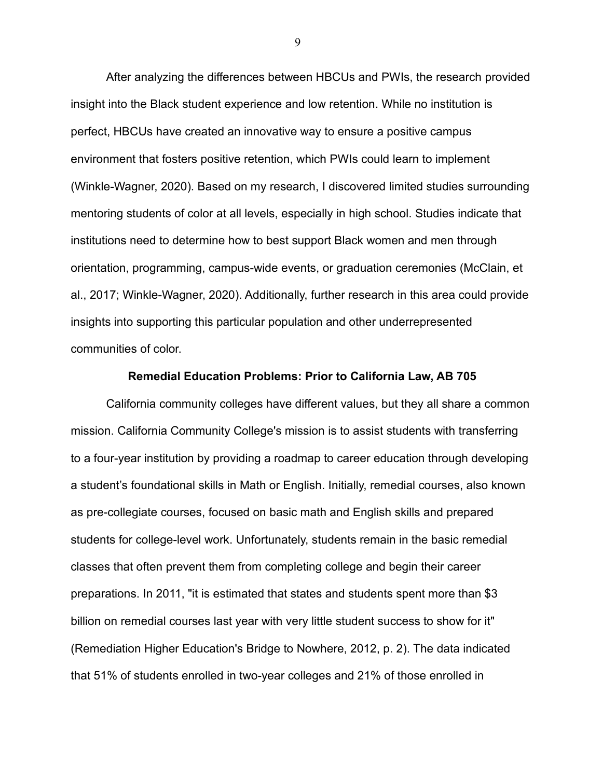After analyzing the differences between HBCUs and PWIs, the research provided insight into the Black student experience and low retention. While no institution is perfect, HBCUs have created an innovative way to ensure a positive campus environment that fosters positive retention, which PWIs could learn to implement (Winkle-Wagner, 2020). Based on my research, I discovered limited studies surrounding mentoring students of color at all levels, especially in high school. Studies indicate that institutions need to determine how to best support Black women and men through orientation, programming, campus-wide events, or graduation ceremonies (McClain, et al., 2017; Winkle-Wagner, 2020). Additionally, further research in this area could provide insights into supporting this particular population and other underrepresented communities of color.

#### **Remedial Education Problems: Prior to California Law, AB 705**

California community colleges have different values, but they all share a common mission. California Community College's mission is to assist students with transferring to a four-year institution by providing a roadmap to career education through developing a student's foundational skills in Math or English. Initially, remedial courses, also known as pre-collegiate courses, focused on basic math and English skills and prepared students for college-level work. Unfortunately, students remain in the basic remedial classes that often prevent them from completing college and begin their career preparations. In 2011, "it is estimated that states and students spent more than \$3 billion on remedial courses last year with very little student success to show for it" (Remediation Higher Education's Bridge to Nowhere, 2012, p. 2). The data indicated that 51% of students enrolled in two-year colleges and 21% of those enrolled in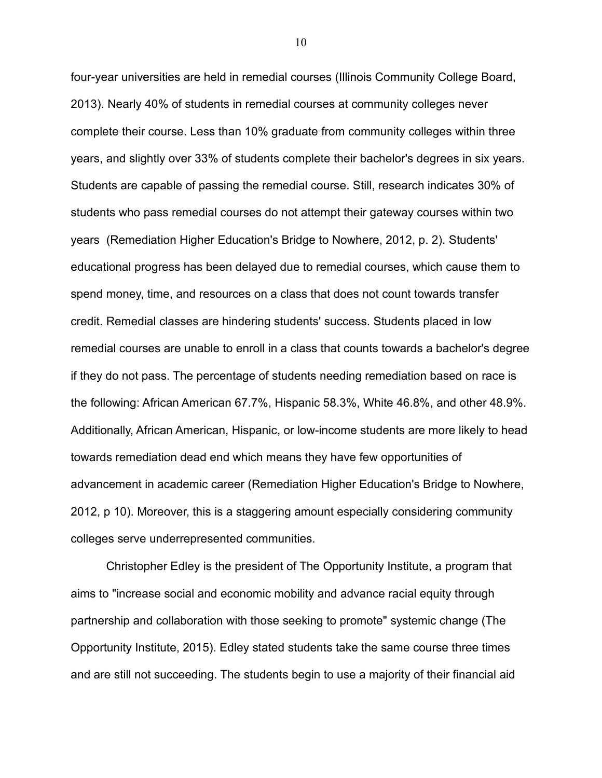four-year universities are held in remedial courses (Illinois Community College Board, 2013). Nearly 40% of students in remedial courses at community colleges never complete their course. Less than 10% graduate from community colleges within three years, and slightly over 33% of students complete their bachelor's degrees in six years. Students are capable of passing the remedial course. Still, research indicates 30% of students who pass remedial courses do not attempt their gateway courses within two years (Remediation Higher Education's Bridge to Nowhere, 2012, p. 2). Students' educational progress has been delayed due to remedial courses, which cause them to spend money, time, and resources on a class that does not count towards transfer credit. Remedial classes are hindering students' success. Students placed in low remedial courses are unable to enroll in a class that counts towards a bachelor's degree if they do not pass. The percentage of students needing remediation based on race is the following: African American 67.7%, Hispanic 58.3%, White 46.8%, and other 48.9%. Additionally, African American, Hispanic, or low-income students are more likely to head towards remediation dead end which means they have few opportunities of advancement in academic career (Remediation Higher Education's Bridge to Nowhere, 2012, p 10). Moreover, this is a staggering amount especially considering community colleges serve underrepresented communities.

Christopher Edley is the president of The Opportunity Institute, a program that aims to "increase social and economic mobility and advance racial equity through partnership and collaboration with those seeking to promote" systemic change (The Opportunity Institute, 2015). Edley stated students take the same course three times and are still not succeeding. The students begin to use a majority of their financial aid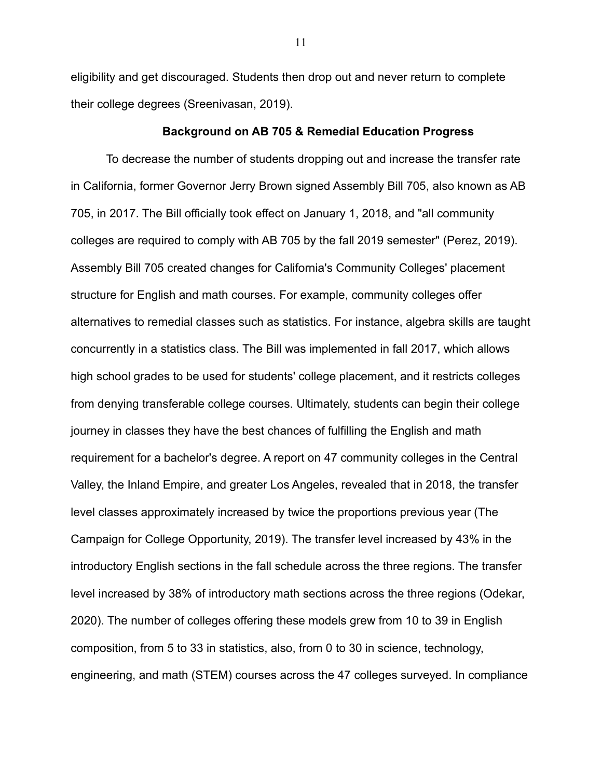eligibility and get discouraged. Students then drop out and never return to complete their college degrees (Sreenivasan, 2019).

#### **Background on AB 705 & Remedial Education Progress**

To decrease the number of students dropping out and increase the transfer rate in California, former Governor Jerry Brown signed Assembly Bill 705, also known as AB 705, in 2017. The Bill officially took effect on January 1, 2018, and "all community colleges are required to comply with AB 705 by the fall 2019 semester" (Perez, 2019). Assembly Bill 705 created changes for California's Community Colleges' placement structure for English and math courses. For example, community colleges offer alternatives to remedial classes such as statistics. For instance, algebra skills are taught concurrently in a statistics class. The Bill was implemented in fall 2017, which allows high school grades to be used for students' college placement, and it restricts colleges from denying transferable college courses. Ultimately, students can begin their college journey in classes they have the best chances of fulfilling the English and math requirement for a bachelor's degree. A report on 47 community colleges in the Central Valley, the Inland Empire, and greater Los Angeles, revealed that in 2018, the transfer level classes approximately increased by twice the proportions previous year (The Campaign for College Opportunity, 2019). The transfer level increased by 43% in the introductory English sections in the fall schedule across the three regions. The transfer level increased by 38% of introductory math sections across the three regions (Odekar, 2020). The number of colleges offering these models grew from 10 to 39 in English composition, from 5 to 33 in statistics, also, from 0 to 30 in science, technology, engineering, and math (STEM) courses across the 47 colleges surveyed. In compliance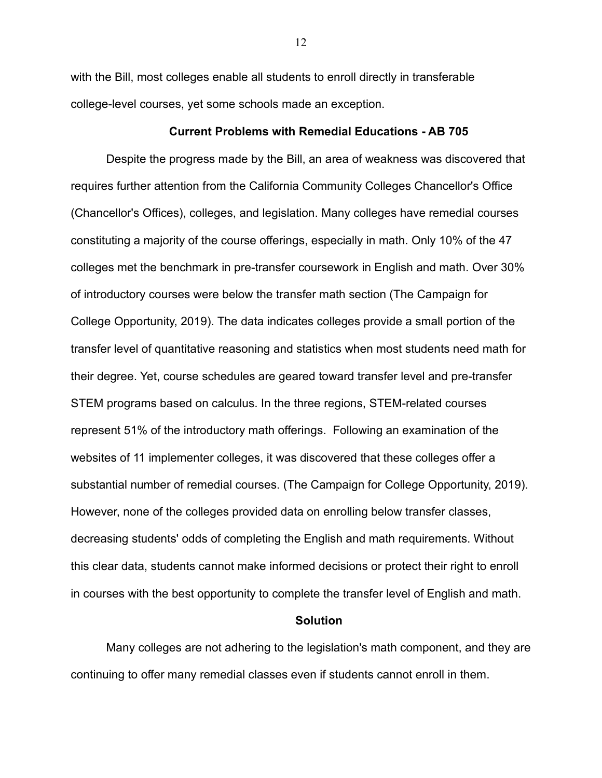with the Bill, most colleges enable all students to enroll directly in transferable college-level courses, yet some schools made an exception.

#### **Current Problems with Remedial Educations - AB 705**

Despite the progress made by the Bill, an area of weakness was discovered that requires further attention from the California Community Colleges Chancellor's Office (Chancellor's Offices), colleges, and legislation. Many colleges have remedial courses constituting a majority of the course offerings, especially in math. Only 10% of the 47 colleges met the benchmark in pre-transfer coursework in English and math. Over 30% of introductory courses were below the transfer math section (The Campaign for College Opportunity, 2019). The data indicates colleges provide a small portion of the transfer level of quantitative reasoning and statistics when most students need math for their degree. Yet, course schedules are geared toward transfer level and pre-transfer STEM programs based on calculus. In the three regions, STEM-related courses represent 51% of the introductory math offerings. Following an examination of the websites of 11 implementer colleges, it was discovered that these colleges offer a substantial number of remedial courses. (The Campaign for College Opportunity, 2019). However, none of the colleges provided data on enrolling below transfer classes, decreasing students' odds of completing the English and math requirements. Without this clear data, students cannot make informed decisions or protect their right to enroll in courses with the best opportunity to complete the transfer level of English and math.

#### **Solution**

Many colleges are not adhering to the legislation's math component, and they are continuing to offer many remedial classes even if students cannot enroll in them.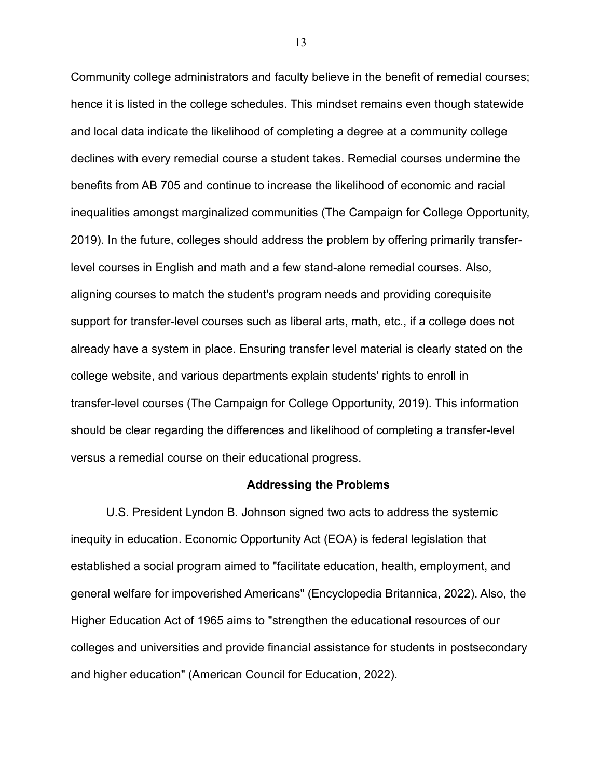Community college administrators and faculty believe in the benefit of remedial courses; hence it is listed in the college schedules. This mindset remains even though statewide and local data indicate the likelihood of completing a degree at a community college declines with every remedial course a student takes. Remedial courses undermine the benefits from AB 705 and continue to increase the likelihood of economic and racial inequalities amongst marginalized communities (The Campaign for College Opportunity, 2019). In the future, colleges should address the problem by offering primarily transferlevel courses in English and math and a few stand-alone remedial courses. Also, aligning courses to match the student's program needs and providing corequisite support for transfer-level courses such as liberal arts, math, etc., if a college does not already have a system in place. Ensuring transfer level material is clearly stated on the college website, and various departments explain students' rights to enroll in transfer-level courses (The Campaign for College Opportunity, 2019). This information should be clear regarding the differences and likelihood of completing a transfer-level versus a remedial course on their educational progress.

#### **Addressing the Problems**

U.S. President Lyndon B. Johnson signed two acts to address the systemic inequity in education. Economic Opportunity Act (EOA) is federal legislation that established a social program aimed to "facilitate education, health, employment, and general welfare for impoverished Americans" (Encyclopedia Britannica, 2022). Also, the Higher Education Act of 1965 aims to "strengthen the educational resources of our colleges and universities and provide financial assistance for students in postsecondary and higher education" (American Council for Education, 2022).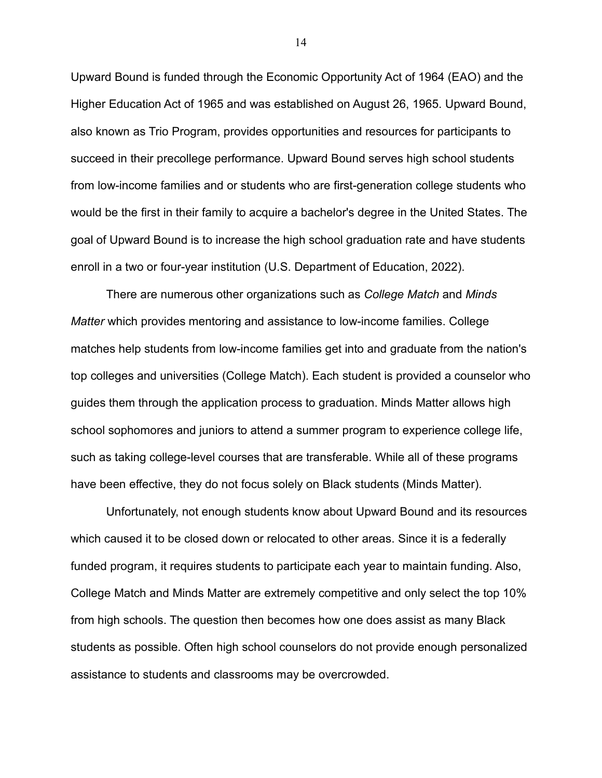Upward Bound is funded through the Economic Opportunity Act of 1964 (EAO) and the Higher Education Act of 1965 and was established on August 26, 1965. Upward Bound, also known as Trio Program, provides opportunities and resources for participants to succeed in their precollege performance. Upward Bound serves high school students from low-income families and or students who are first-generation college students who would be the first in their family to acquire a bachelor's degree in the United States. The goal of Upward Bound is to increase the high school graduation rate and have students enroll in a two or four-year institution (U.S. Department of Education, 2022).

There are numerous other organizations such as *College Match* and *Minds Matter* which provides mentoring and assistance to low-income families. College matches help students from low-income families get into and graduate from the nation's top colleges and universities (College Match). Each student is provided a counselor who guides them through the application process to graduation. Minds Matter allows high school sophomores and juniors to attend a summer program to experience college life, such as taking college-level courses that are transferable. While all of these programs have been effective, they do not focus solely on Black students (Minds Matter).

Unfortunately, not enough students know about Upward Bound and its resources which caused it to be closed down or relocated to other areas. Since it is a federally funded program, it requires students to participate each year to maintain funding. Also, College Match and Minds Matter are extremely competitive and only select the top 10% from high schools. The question then becomes how one does assist as many Black students as possible. Often high school counselors do not provide enough personalized assistance to students and classrooms may be overcrowded.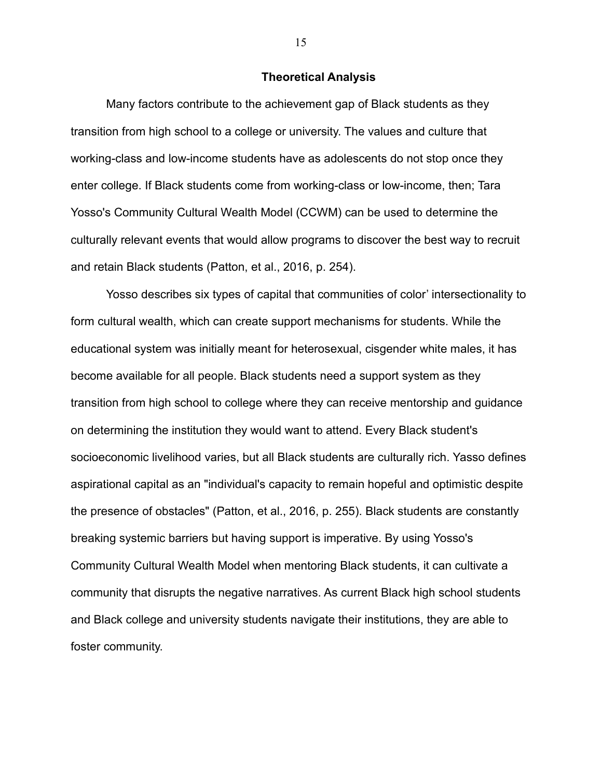#### **Theoretical Analysis**

Many factors contribute to the achievement gap of Black students as they transition from high school to a college or university. The values and culture that working-class and low-income students have as adolescents do not stop once they enter college. If Black students come from working-class or low-income, then; Tara Yosso's Community Cultural Wealth Model (CCWM) can be used to determine the culturally relevant events that would allow programs to discover the best way to recruit and retain Black students (Patton, et al., 2016, p. 254).

Yosso describes six types of capital that communities of color' intersectionality to form cultural wealth, which can create support mechanisms for students. While the educational system was initially meant for heterosexual, cisgender white males, it has become available for all people. Black students need a support system as they transition from high school to college where they can receive mentorship and guidance on determining the institution they would want to attend. Every Black student's socioeconomic livelihood varies, but all Black students are culturally rich. Yasso defines aspirational capital as an "individual's capacity to remain hopeful and optimistic despite the presence of obstacles" (Patton, et al., 2016, p. 255). Black students are constantly breaking systemic barriers but having support is imperative. By using Yosso's Community Cultural Wealth Model when mentoring Black students, it can cultivate a community that disrupts the negative narratives. As current Black high school students and Black college and university students navigate their institutions, they are able to foster community.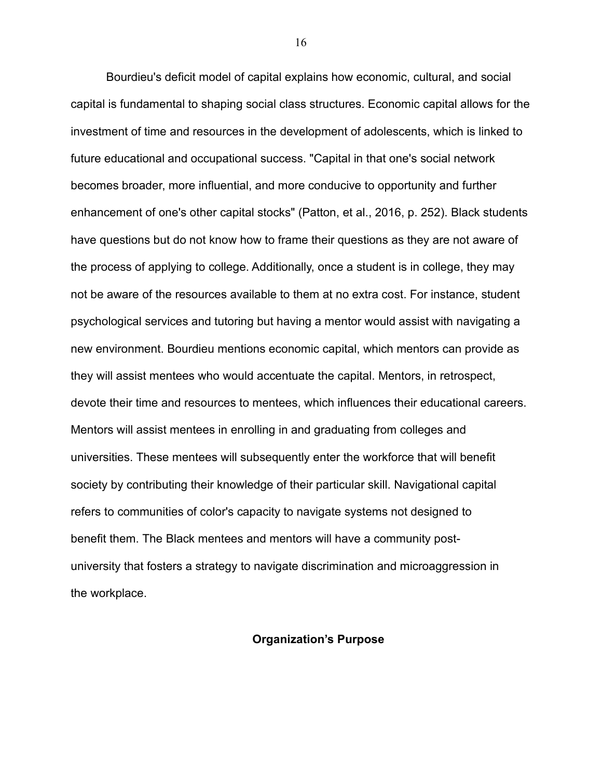Bourdieu's deficit model of capital explains how economic, cultural, and social capital is fundamental to shaping social class structures. Economic capital allows for the investment of time and resources in the development of adolescents, which is linked to future educational and occupational success. "Capital in that one's social network becomes broader, more influential, and more conducive to opportunity and further enhancement of one's other capital stocks" (Patton, et al., 2016, p. 252). Black students have questions but do not know how to frame their questions as they are not aware of the process of applying to college. Additionally, once a student is in college, they may not be aware of the resources available to them at no extra cost. For instance, student psychological services and tutoring but having a mentor would assist with navigating a new environment. Bourdieu mentions economic capital, which mentors can provide as they will assist mentees who would accentuate the capital. Mentors, in retrospect, devote their time and resources to mentees, which influences their educational careers. Mentors will assist mentees in enrolling in and graduating from colleges and universities. These mentees will subsequently enter the workforce that will benefit society by contributing their knowledge of their particular skill. Navigational capital refers to communities of color's capacity to navigate systems not designed to benefit them. The Black mentees and mentors will have a community postuniversity that fosters a strategy to navigate discrimination and microaggression in the workplace.

#### **Organization's Purpose**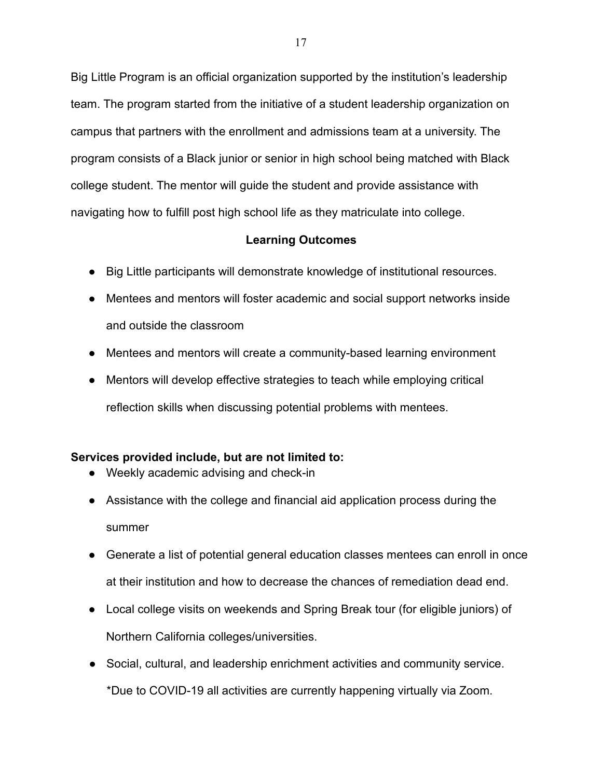Big Little Program is an official organization supported by the institution's leadership team. The program started from the initiative of a student leadership organization on campus that partners with the enrollment and admissions team at a university. The program consists of a Black junior or senior in high school being matched with Black college student. The mentor will guide the student and provide assistance with navigating how to fulfill post high school life as they matriculate into college.

## **Learning Outcomes**

- Big Little participants will demonstrate knowledge of institutional resources.
- Mentees and mentors will foster academic and social support networks inside and outside the classroom
- Mentees and mentors will create a community-based learning environment
- Mentors will develop effective strategies to teach while employing critical reflection skills when discussing potential problems with mentees.

## **Services provided include, but are not limited to:**

- Weekly academic advising and check-in
- Assistance with the college and financial aid application process during the summer
- Generate a list of potential general education classes mentees can enroll in once at their institution and how to decrease the chances of remediation dead end.
- Local college visits on weekends and Spring Break tour (for eligible juniors) of Northern California colleges/universities.
- Social, cultural, and leadership enrichment activities and community service. \*Due to COVID-19 all activities are currently happening virtually via Zoom.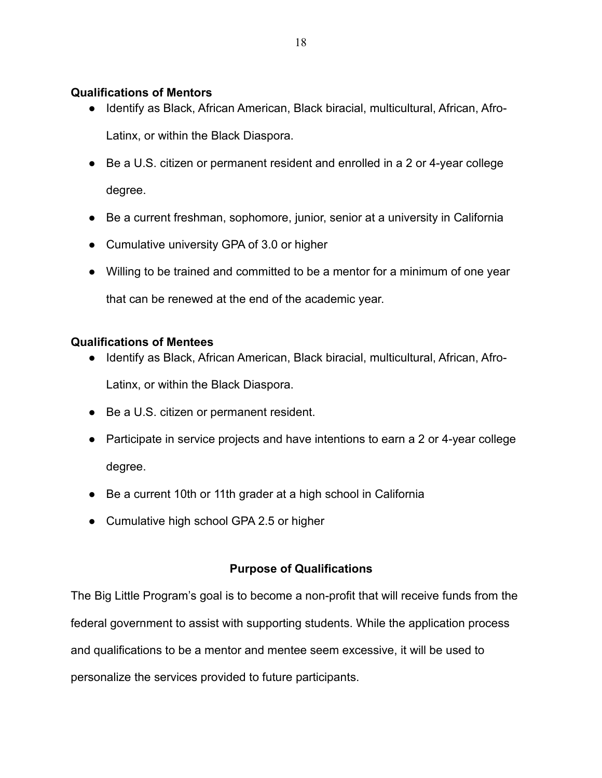## **Qualifications of Mentors**

● Identify as Black, African American, Black biracial, multicultural, African, Afro-

Latinx, or within the Black Diaspora.

- Be a U.S. citizen or permanent resident and enrolled in a 2 or 4-year college degree.
- Be a current freshman, sophomore, junior, senior at a university in California
- Cumulative university GPA of 3.0 or higher
- Willing to be trained and committed to be a mentor for a minimum of one year

that can be renewed at the end of the academic year.

## **Qualifications of Mentees**

- Identify as Black, African American, Black biracial, multicultural, African, Afro-Latinx, or within the Black Diaspora.
- Be a U.S. citizen or permanent resident.
- Participate in service projects and have intentions to earn a 2 or 4-year college degree.
- Be a current 10th or 11th grader at a high school in California
- Cumulative high school GPA 2.5 or higher

## **Purpose of Qualifications**

The Big Little Program's goal is to become a non-profit that will receive funds from the federal government to assist with supporting students. While the application process and qualifications to be a mentor and mentee seem excessive, it will be used to personalize the services provided to future participants.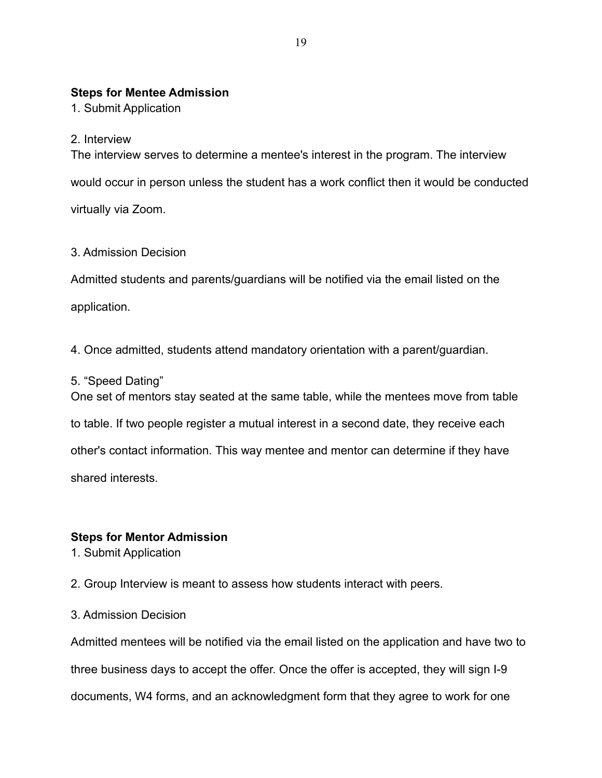## **Steps for Mentee Admission**

1. Submit Application

## 2. Interview

The interview serves to determine a mentee's interest in the program. The interview would occur in person unless the student has a work conflict then it would be conducted virtually via Zoom.

## 3. Admission Decision

Admitted students and parents/guardians will be notified via the email listed on the application.

4. Once admitted, students attend mandatory orientation with a parent/guardian.

## 5. "Speed Dating"

One set of mentors stay seated at the same table, while the mentees move from table to table. If two people register a mutual interest in a second date, they receive each other's contact information. This way mentee and mentor can determine if they have shared interests.

## **Steps for Mentor Admission**

1. Submit Application

2. Group Interview is meant to assess how students interact with peers.

3. Admission Decision

Admitted mentees will be notified via the email listed on the application and have two to three business days to accept the offer. Once the offer is accepted, they will sign I-9 documents, W4 forms, and an acknowledgment form that they agree to work for one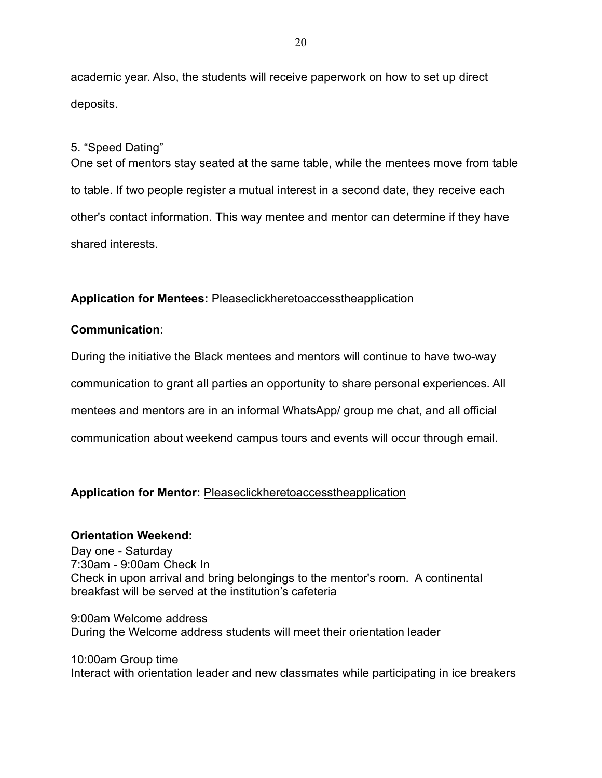academic year. Also, the students will receive paperwork on how to set up direct deposits.

#### 5. "Speed Dating"

One set of mentors stay seated at the same table, while the mentees move from table to table. If two people register a mutual interest in a second date, they receive each other's contact information. This way mentee and mentor can determine if they have shared interests.

## Application for Mentees: Pleaseclickhereto access the application

#### **Communication**:

During the initiative the Black mentees and mentors will continue to have two-way communication to grant all parties an opportunity to share personal experiences. All mentees and mentors are in an informal WhatsApp/ group me chat, and all official communication about weekend campus tours and events will occur through email.

## **Application for Mentor: Pleaseclickhereto access the application**

#### **Orientation Weekend:**

Day one - Saturday 7:30am - 9:00am Check In Check in upon arrival and bring belongings to the mentor's room. A continental breakfast will be served at the institution's cafeteria

9:00am Welcome address During the Welcome address students will meet their orientation leader

10:00am Group time Interact with orientation leader and new classmates while participating in ice breakers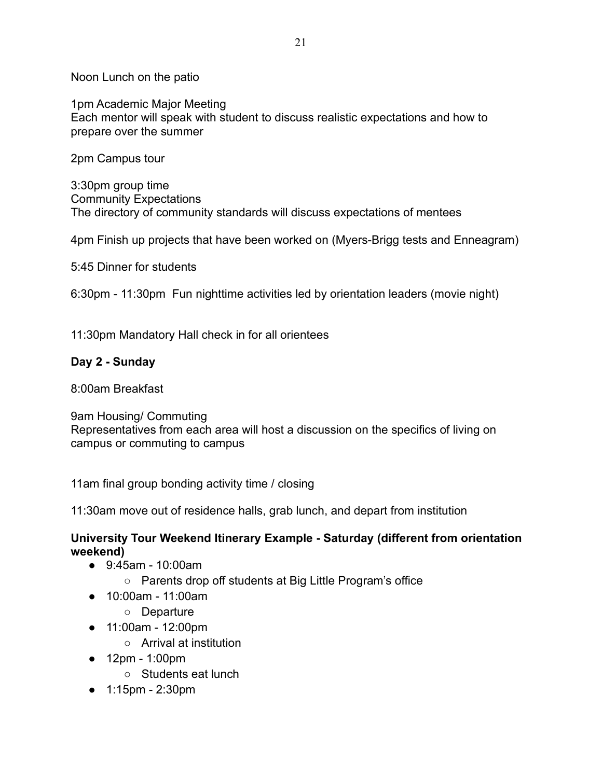Noon Lunch on the patio

1pm Academic Major Meeting Each mentor will speak with student to discuss realistic expectations and how to prepare over the summer

2pm Campus tour

3:30pm group time Community Expectations The directory of community standards will discuss expectations of mentees

4pm Finish up projects that have been worked on (Myers-Brigg tests and Enneagram)

5:45 Dinner for students

6:30pm - 11:30pm Fun nighttime activities led by orientation leaders (movie night)

11:30pm Mandatory Hall check in for all orientees

## **Day 2 - Sunday**

8:00am Breakfast

9am Housing/ Commuting Representatives from each area will host a discussion on the specifics of living on campus or commuting to campus

11am final group bonding activity time / closing

11:30am move out of residence halls, grab lunch, and depart from institution

## **University Tour Weekend Itinerary Example - Saturday (different from orientation weekend)**

- 9:45am 10:00am
	- Parents drop off students at Big Little Program's office
- 10:00am 11:00am
	- Departure
- 11:00am 12:00pm
	- Arrival at institution
- 12pm 1:00pm
	- Students eat lunch
- 1:15pm 2:30pm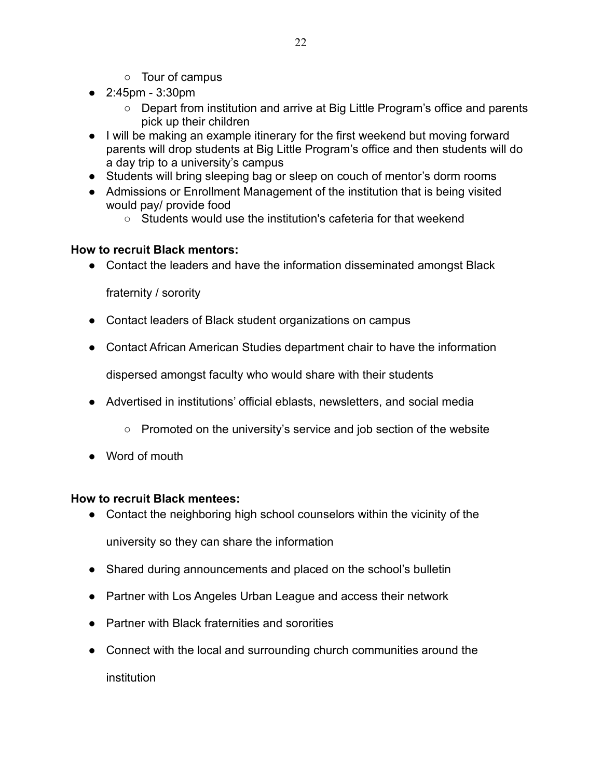- Tour of campus
- 2:45pm 3:30pm
	- Depart from institution and arrive at Big Little Program's office and parents pick up their children
- I will be making an example itinerary for the first weekend but moving forward parents will drop students at Big Little Program's office and then students will do a day trip to a university's campus
- Students will bring sleeping bag or sleep on couch of mentor's dorm rooms
- Admissions or Enrollment Management of the institution that is being visited would pay/ provide food
	- Students would use the institution's cafeteria for that weekend

## **How to recruit Black mentors:**

**●** Contact the leaders and have the information disseminated amongst Black

fraternity / sorority

- Contact leaders of Black student organizations on campus
- Contact African American Studies department chair to have the information

dispersed amongst faculty who would share with their students

- Advertised in institutions' official eblasts, newsletters, and social media
	- Promoted on the university's service and job section of the website
- Word of mouth

## **How to recruit Black mentees:**

• Contact the neighboring high school counselors within the vicinity of the

university so they can share the information

- Shared during announcements and placed on the school's bulletin
- Partner with Los Angeles Urban League and access their network
- Partner with Black fraternities and sororities
- Connect with the local and surrounding church communities around the institution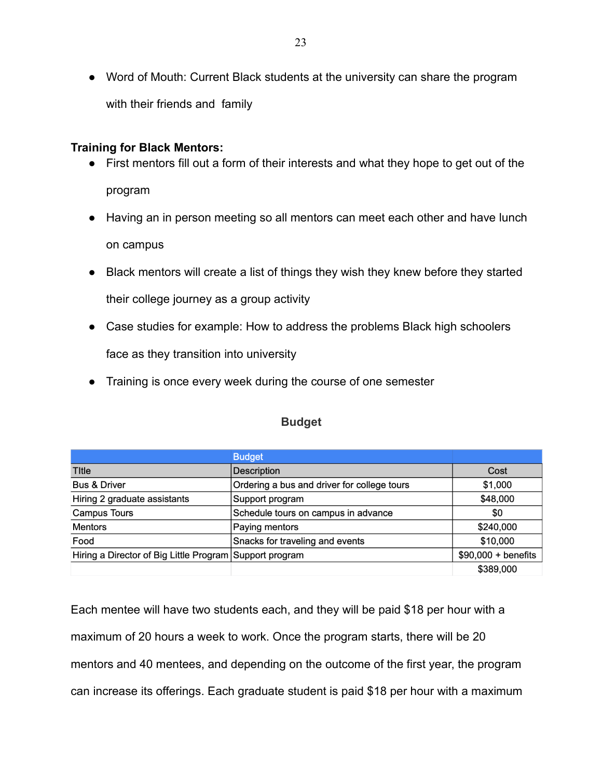● Word of Mouth: Current Black students at the university can share the program with their friends and family

#### **Training for Black Mentors:**

- First mentors fill out a form of their interests and what they hope to get out of the program
- Having an in person meeting so all mentors can meet each other and have lunch on campus
- Black mentors will create a list of things they wish they knew before they started their college journey as a group activity
- Case studies for example: How to address the problems Black high schoolers face as they transition into university
- Training is once every week during the course of one semester

|                                                         | <b>Budget</b>                               |                      |
|---------------------------------------------------------|---------------------------------------------|----------------------|
| <b>Title</b>                                            | <b>Description</b>                          | Cost                 |
| <b>Bus &amp; Driver</b>                                 | Ordering a bus and driver for college tours | \$1,000              |
| Hiring 2 graduate assistants                            | Support program                             | \$48,000             |
| <b>Campus Tours</b>                                     | Schedule tours on campus in advance         | \$0                  |
| <b>Mentors</b>                                          | Paying mentors                              | \$240,000            |
| Food                                                    | Snacks for traveling and events             | \$10,000             |
| Hiring a Director of Big Little Program Support program |                                             | $$90,000 + benefits$ |
|                                                         |                                             | \$389,000            |

## **Budget**

Each mentee will have two students each, and they will be paid \$18 per hour with a maximum of 20 hours a week to work. Once the program starts, there will be 20 mentors and 40 mentees, and depending on the outcome of the first year, the program can increase its offerings. Each graduate student is paid \$18 per hour with a maximum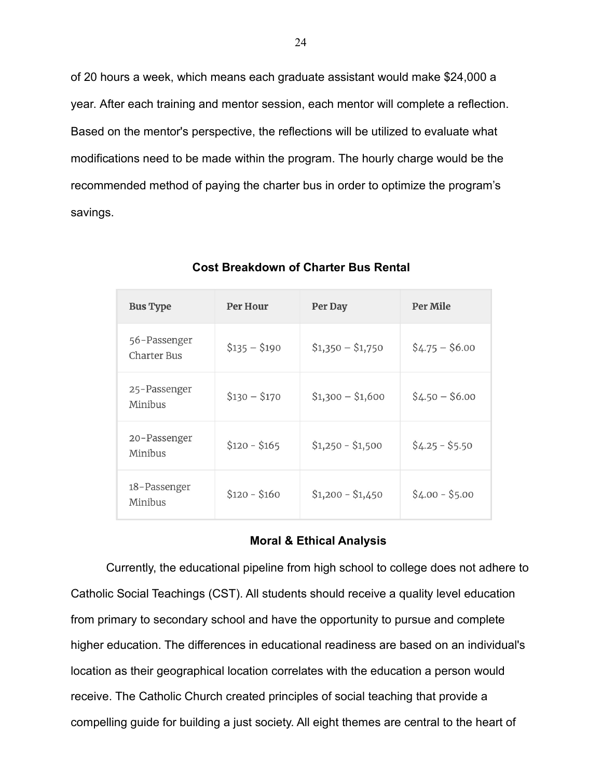of 20 hours a week, which means each graduate assistant would make \$24,000 a year. After each training and mentor session, each mentor will complete a reflection. Based on the mentor's perspective, the reflections will be utilized to evaluate what modifications need to be made within the program. The hourly charge would be the recommended method of paying the charter bus in order to optimize the program's savings.

| <b>Bus Type</b>                    | Per Hour      | Per Day           | <b>Per Mile</b> |
|------------------------------------|---------------|-------------------|-----------------|
| 56-Passenger<br><b>Charter Bus</b> | $$135 - $190$ | $$1,350 - $1,750$ | $$4.75 - $6.00$ |
| 25-Passenger<br>Minibus            | $$130 - $170$ | $$1,300 - $1,600$ | $$4.50 - $6.00$ |
| 20-Passenger<br>Minibus            | $$120 - $165$ | $$1,250 - $1,500$ | $$4.25 - $5.50$ |
| 18-Passenger<br>Minibus            | $$120 - $160$ | $$1,200 - $1,450$ | $$4.00 - $5.00$ |

**Cost Breakdown of Charter Bus Rental**

#### **Moral & Ethical Analysis**

Currently, the educational pipeline from high school to college does not adhere to Catholic Social Teachings (CST). All students should receive a quality level education from primary to secondary school and have the opportunity to pursue and complete higher education. The differences in educational readiness are based on an individual's location as their geographical location correlates with the education a person would receive. The Catholic Church created principles of social teaching that provide a compelling guide for building a just society. All eight themes are central to the heart of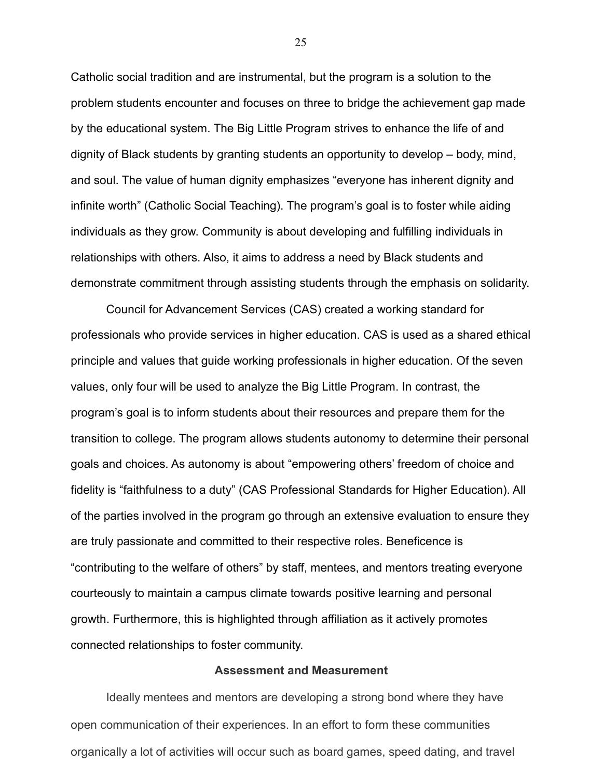Catholic social tradition and are instrumental, but the program is a solution to the problem students encounter and focuses on three to bridge the achievement gap made by the educational system. The Big Little Program strives to enhance the life of and dignity of Black students by granting students an opportunity to develop – body, mind, and soul. The value of human dignity emphasizes "everyone has inherent dignity and infinite worth" (Catholic Social Teaching). The program's goal is to foster while aiding individuals as they grow. Community is about developing and fulfilling individuals in relationships with others. Also, it aims to address a need by Black students and demonstrate commitment through assisting students through the emphasis on solidarity.

Council for Advancement Services (CAS) created a working standard for professionals who provide services in higher education. CAS is used as a shared ethical principle and values that guide working professionals in higher education. Of the seven values, only four will be used to analyze the Big Little Program. In contrast, the program's goal is to inform students about their resources and prepare them for the transition to college. The program allows students autonomy to determine their personal goals and choices. As autonomy is about "empowering others' freedom of choice and fidelity is "faithfulness to a duty" (CAS Professional Standards for Higher Education). All of the parties involved in the program go through an extensive evaluation to ensure they are truly passionate and committed to their respective roles. Beneficence is "contributing to the welfare of others" by staff, mentees, and mentors treating everyone courteously to maintain a campus climate towards positive learning and personal growth. Furthermore, this is highlighted through affiliation as it actively promotes connected relationships to foster community.

#### **Assessment and Measurement**

Ideally mentees and mentors are developing a strong bond where they have open communication of their experiences. In an effort to form these communities organically a lot of activities will occur such as board games, speed dating, and travel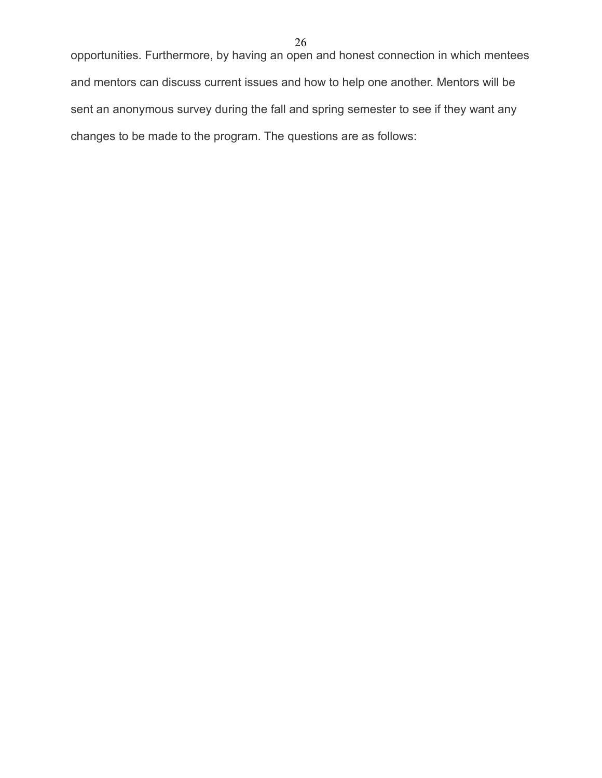opportunities. Furthermore, by having an open and honest connection in which mentees and mentors can discuss current issues and how to help one another. Mentors will be sent an anonymous survey during the fall and spring semester to see if they want any changes to be made to the program. The questions are as follows: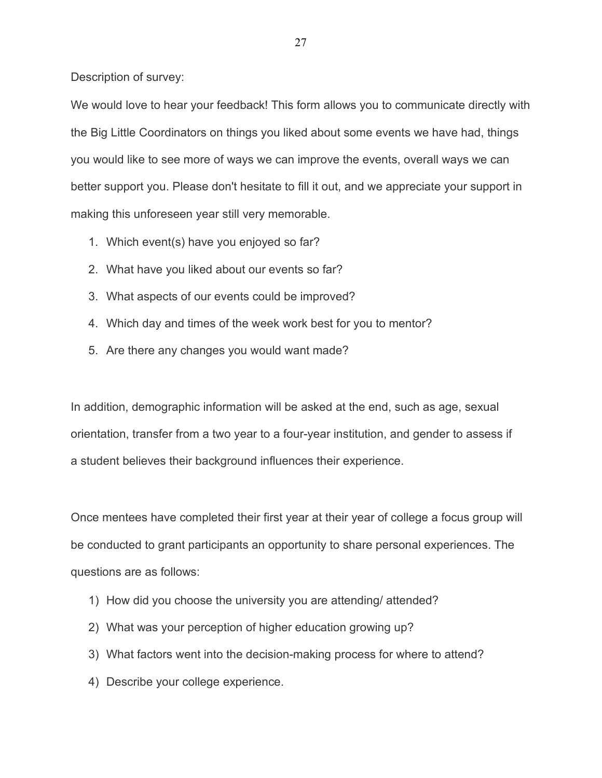Description of survey:

We would love to hear your feedback! This form allows you to communicate directly with the Big Little Coordinators on things you liked about some events we have had, things you would like to see more of ways we can improve the events, overall ways we can better support you. Please don't hesitate to fill it out, and we appreciate your support in making this unforeseen year still very memorable.

- 1. Which event(s) have you enjoyed so far?
- 2. What have you liked about our events so far?
- 3. What aspects of our events could be improved?
- 4. Which day and times of the week work best for you to mentor?
- 5. Are there any changes you would want made?

In addition, demographic information will be asked at the end, such as age, sexual orientation, transfer from a two year to a four-year institution, and gender to assess if a student believes their background influences their experience.

Once mentees have completed their first year at their year of college a focus group will be conducted to grant participants an opportunity to share personal experiences. The questions are as follows:

- 1) How did you choose the university you are attending/ attended?
- 2) What was your perception of higher education growing up?
- 3) What factors went into the decision-making process for where to attend?
- 4) Describe your college experience.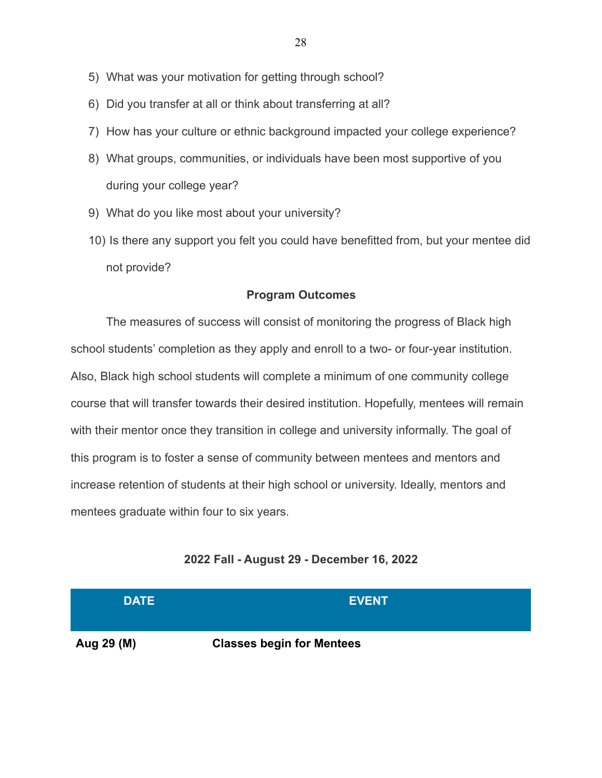- 5) What was your motivation for getting through school?
- 6) Did you transfer at all or think about transferring at all?
- 7) How has your culture or ethnic background impacted your college experience?
- 8) What groups, communities, or individuals have been most supportive of you during your college year?
- 9) What do you like most about your university?
- 10) Is there any support you felt you could have benefitted from, but your mentee did not provide?

#### **Program Outcomes**

The measures of success will consist of monitoring the progress of Black high school students' completion as they apply and enroll to a two- or four-year institution. Also, Black high school students will complete a minimum of one community college course that will transfer towards their desired institution. Hopefully, mentees will remain with their mentor once they transition in college and university informally. The goal of this program is to foster a sense of community between mentees and mentors and increase retention of students at their high school or university. Ideally, mentors and mentees graduate within four to six years.

#### **2022 Fall - August 29 - December 16, 2022**

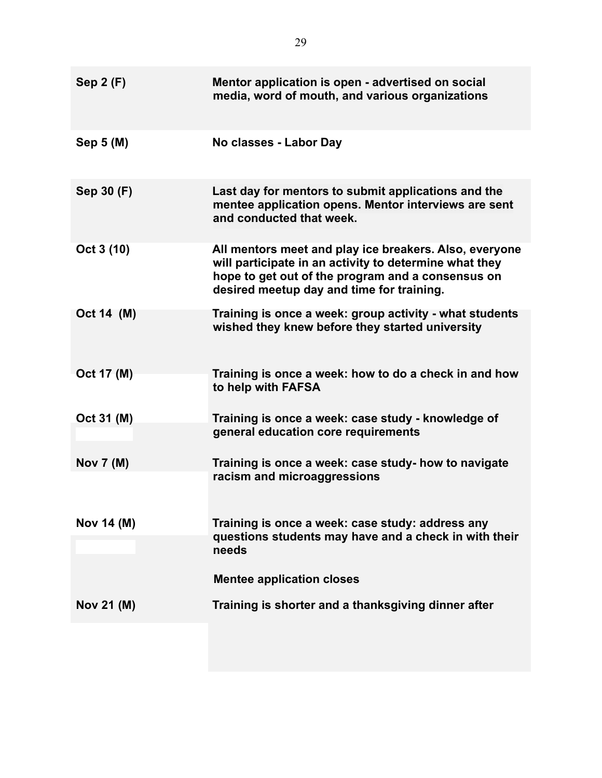| Sep $2(F)$       | Mentor application is open - advertised on social<br>media, word of mouth, and various organizations                                                                                                               |
|------------------|--------------------------------------------------------------------------------------------------------------------------------------------------------------------------------------------------------------------|
| Sep 5 (M)        | No classes - Labor Day                                                                                                                                                                                             |
| Sep 30 (F)       | Last day for mentors to submit applications and the<br>mentee application opens. Mentor interviews are sent<br>and conducted that week.                                                                            |
| Oct 3 (10)       | All mentors meet and play ice breakers. Also, everyone<br>will participate in an activity to determine what they<br>hope to get out of the program and a consensus on<br>desired meetup day and time for training. |
| Oct 14 (M)       | Training is once a week: group activity - what students<br>wished they knew before they started university                                                                                                         |
| Oct 17 (M)       | Training is once a week: how to do a check in and how<br>to help with FAFSA                                                                                                                                        |
| Oct 31 (M)       | Training is once a week: case study - knowledge of<br>general education core requirements                                                                                                                          |
| <b>Nov 7 (M)</b> | Training is once a week: case study- how to navigate<br>racism and microaggressions                                                                                                                                |
| Nov 14 (M)       | Training is once a week: case study: address any<br>questions students may have and a check in with their<br>needs                                                                                                 |
|                  | <b>Mentee application closes</b>                                                                                                                                                                                   |
| Nov 21 (M)       | Training is shorter and a thanksgiving dinner after                                                                                                                                                                |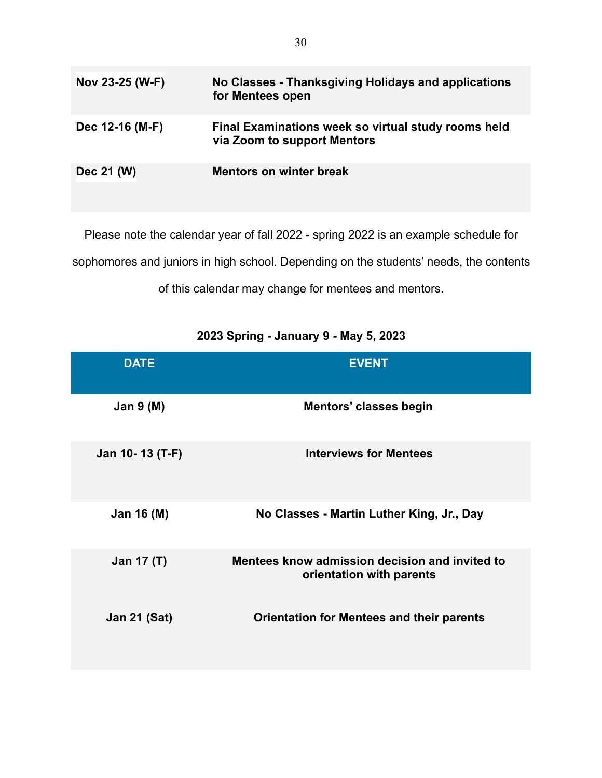| Nov 23-25 (W-F) | No Classes - Thanksgiving Holidays and applications<br>for Mentees open            |
|-----------------|------------------------------------------------------------------------------------|
| Dec 12-16 (M-F) | Final Examinations week so virtual study rooms held<br>via Zoom to support Mentors |
| Dec 21 (W)      | <b>Mentors on winter break</b>                                                     |

Please note the calendar year of fall 2022 - spring 2022 is an example schedule for sophomores and juniors in high school. Depending on the students' needs, the contents of this calendar may change for mentees and mentors.

## **2023 Spring - January 9 - May 5, 2023**

| <b>DATE</b>         | <b>EVENT</b>                                                               |
|---------------------|----------------------------------------------------------------------------|
| Jan $9(M)$          | Mentors' classes begin                                                     |
| Jan 10-13 (T-F)     | <b>Interviews for Mentees</b>                                              |
| Jan 16 (M)          | No Classes - Martin Luther King, Jr., Day                                  |
| Jan 17 (T)          | Mentees know admission decision and invited to<br>orientation with parents |
| <b>Jan 21 (Sat)</b> | <b>Orientation for Mentees and their parents</b>                           |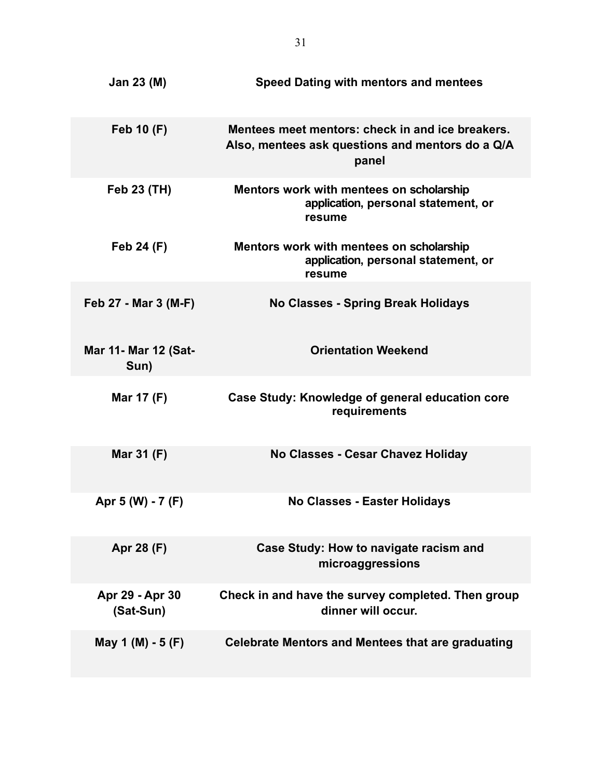| Jan 23 (M)                          | <b>Speed Dating with mentors and mentees</b>                                                                  |
|-------------------------------------|---------------------------------------------------------------------------------------------------------------|
| <b>Feb 10 (F)</b>                   | Mentees meet mentors: check in and ice breakers.<br>Also, mentees ask questions and mentors do a Q/A<br>panel |
| <b>Feb 23 (TH)</b>                  | Mentors work with mentees on scholarship<br>application, personal statement, or<br>resume                     |
| Feb 24 (F)                          | Mentors work with mentees on scholarship<br>application, personal statement, or<br>resume                     |
| Feb 27 - Mar 3 (M-F)                | No Classes - Spring Break Holidays                                                                            |
| <b>Mar 11- Mar 12 (Sat-</b><br>Sun) | <b>Orientation Weekend</b>                                                                                    |
| Mar 17 (F)                          | Case Study: Knowledge of general education core<br>requirements                                               |
| Mar 31 (F)                          | No Classes - Cesar Chavez Holiday                                                                             |
| Apr 5 (W) - 7 (F)                   | <b>No Classes - Easter Holidays</b>                                                                           |
| Apr 28 (F)                          | Case Study: How to navigate racism and<br>microaggressions                                                    |
| Apr 29 - Apr 30<br>(Sat-Sun)        | Check in and have the survey completed. Then group<br>dinner will occur.                                      |
| May 1 (M) - 5 (F)                   | Celebrate Mentors and Mentees that are graduating                                                             |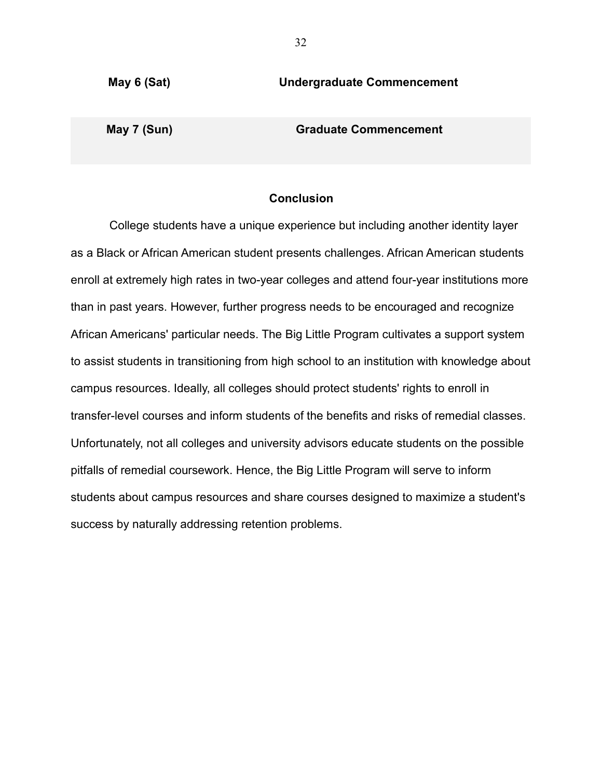**May 6 (Sat) Undergraduate Commencement**

**May 7 (Sun) Graduate Commencement**

#### **Conclusion**

College students have a unique experience but including another identity layer as a Black or African American student presents challenges. African American students enroll at extremely high rates in two-year colleges and attend four-year institutions more than in past years. However, further progress needs to be encouraged and recognize African Americans' particular needs. The Big Little Program cultivates a support system to assist students in transitioning from high school to an institution with knowledge about campus resources. Ideally, all colleges should protect students' rights to enroll in transfer-level courses and inform students of the benefits and risks of remedial classes. Unfortunately, not all colleges and university advisors educate students on the possible pitfalls of remedial coursework. Hence, the Big Little Program will serve to inform students about campus resources and share courses designed to maximize a student's success by naturally addressing retention problems.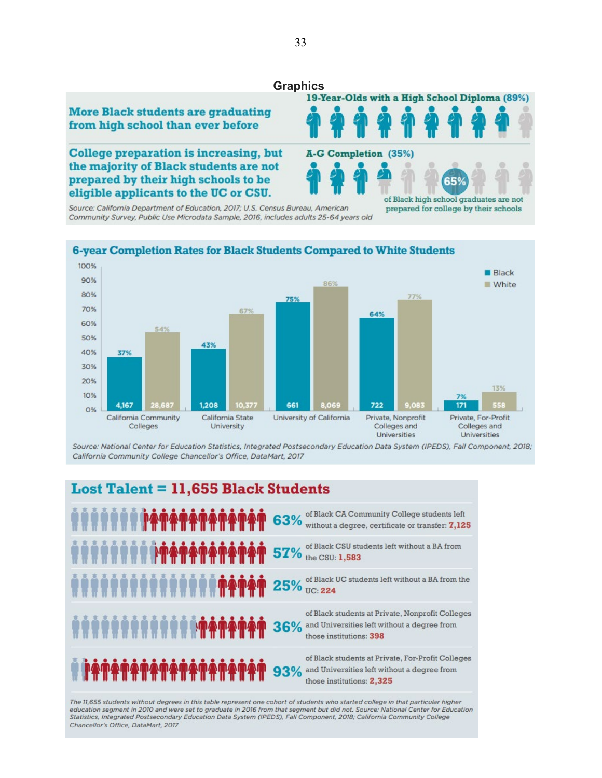# Graphics<br>**19-Year-Olds with a High School Diploma** (89%)



**College preparation is increasing, but** the majority of Black students are not prepared by their high schools to be eligible applicants to the UC or CSU.

Source: California Department of Education, 2017; U.S. Census Bureau, American Community Survey, Public Use Microdata Sample, 2016, includes adults 25-64 years old

# A-G Completion (35%) 65 of Black high school graduates are not prepared for college by their schools

44



Source: National Center for Education Statistics, Integrated Postsecondary Education Data System (IPEDS), Fall Component, 2018; California Community College Chancellor's Office, DataMart, 2017

## **Lost Talent = 11,655 Black Students**

|                                                                                        | of Black CA Community College students left<br>63% without a degree, certificate or transfer: 7,125                                  |
|----------------------------------------------------------------------------------------|--------------------------------------------------------------------------------------------------------------------------------------|
| <b>OF A COUP OF A DISPOSE OF THE COUP OF Black CSU students left without a BA from</b> |                                                                                                                                      |
|                                                                                        |                                                                                                                                      |
| <b>OCC MARGAREM PROPERTY OF</b>                                                        | of Black students at Private, Nonprofit Colleges<br>and Universities left without a degree from<br>those institutions: 398           |
| <b>TATATATATATATATATAT</b>                                                             | of Black students at Private, For-Profit Colleges<br>and Universities left without a degree from<br>93%<br>those institutions: 2,325 |

The 11,655 students without degrees in this table represent one cohort of students who started college in that particular higher education segment in 2010 and were set to graduate in 2016 from that segment but did not. Source: National Center for Education Statistics, Integrated Postsecondary Education Data System (IPEDS), Fall Component, 2018; California Community College Chancellor's Office, DataMart, 2017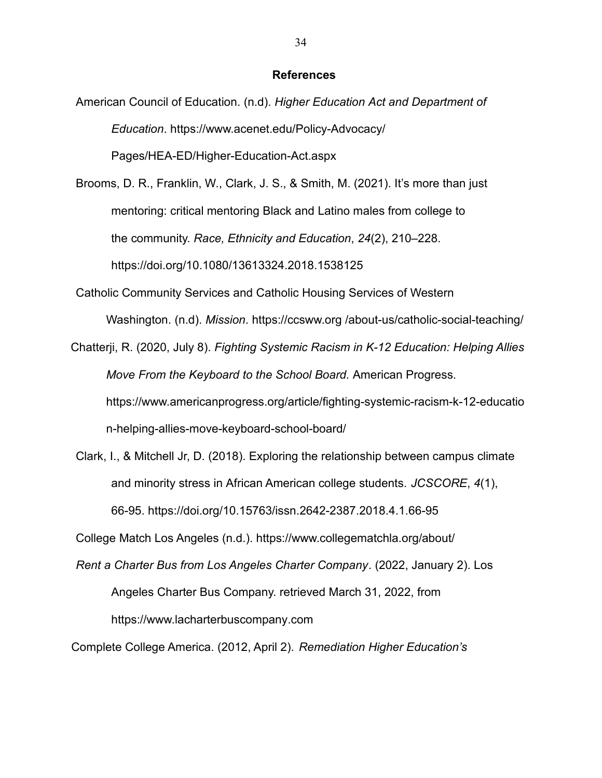#### **References**

American Council of Education. (n.d). *Higher Education Act and Department of Education*[. https://www.acenet.edu/Policy-Advocacy/](http://www.acenet.edu/Policy-Advocacy/) Pages/HEA-ED/Higher-Education-Act.aspx

Brooms, D. R., Franklin, W., Clark, J. S., & Smith, M. (2021). It's more than just mentoring: critical mentoring Black and Latino males from college to the community. *Race, Ethnicity and Education*, *24*(2), 210–228[.](https://doi.org/10.1080/13613324.2018.1538125) <https://doi.org/10.1080/13613324.2018.1538125>

Catholic Community Services and Catholic Housing Services of Western Washington. (n.d). *Mission*. https://ccsww.org /about-us/catholic-social-teaching/

Chatterji, R. (2020, July 8). *Fighting Systemic Racism in K-12 Education: Helping Allies Move From the Keyboard to the School Board.* American Progress[.](https://www.americanprogress.org/article/fighting-systemic-racism-k-12-education-helping-allies-move-keyboard-school-board/) [https://www.americanprogress.org/article/fighting-systemic-racism-k-12-educatio](https://www.americanprogress.org/article/fighting-systemic-racism-k-12-education-helping-allies-move-keyboard-school-board/) [n-helping-allies-move-keyboard-school-board/](https://www.americanprogress.org/article/fighting-systemic-racism-k-12-education-helping-allies-move-keyboard-school-board/)

Clark, I., & Mitchell Jr, D. (2018). Exploring the relationship between campus climate and minority stress in African American college students. *JCSCORE*, *4*(1), [66-95. https://doi.org/10.15763/issn.2642-2387.2018.4.1.66-95](https://doi.org/10.15763/issn.2642-2387.2018.4.1.66-95)

College Match Los [Angeles \(n.d.\). https://www.collegematchla.org/about/](http://www.collegematchla.org/about/)

*Rent a Charter Bus from Los Angeles Charter Company*. (2022, January 2). Los Angeles Charter Bus Company. retrieved March 31, 2022, fro[m](http://www.lacharterbuscompany.com/) [https://www.](http://www.lacharterbuscompany.com/)lacharterbuscompany.com

Complete College America. (2012, April 2). *Remediation Higher Education's*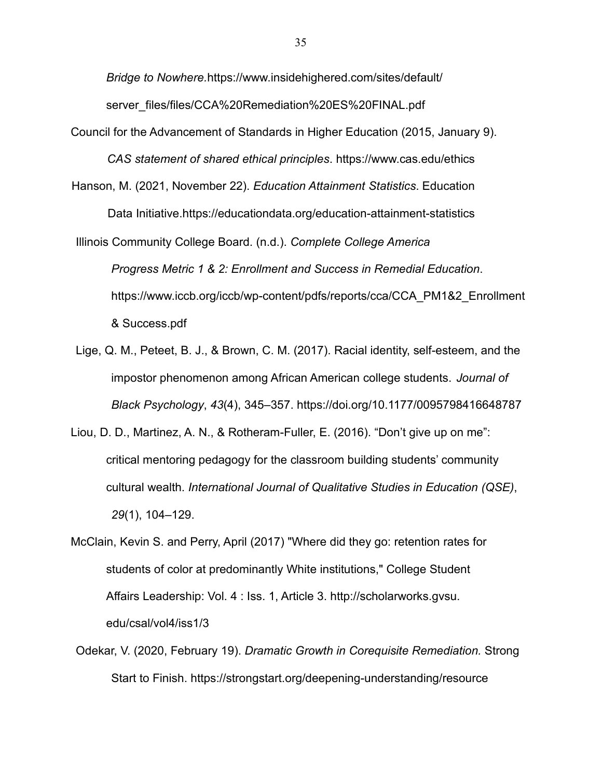*Bridge to Nowhere.*[https://www.insidehighered.com/sites/default/](https://www.insidehighered.com/sites/default/server_files/files/CCA%20Remediation%20ES%20FINAL.pdf) [server\\_files/files/CCA%20Remediation%20ES%20FINAL.pdf](https://www.insidehighered.com/sites/default/server_files/files/CCA%20Remediation%20ES%20FINAL.pdf)

Council for the Advancement of Standards in Higher Education (2015, January 9).

*CAS statement of shared ethical principles*[. https://www.cas.edu/ethics](https://www.cas.edu/ethics)

Hanson, M. (2021, November 22). *Education Attainment Statistics*. Educatio[n](https://educationdata.org/education-attainment-statistics)

[Data Initiative.https://educationdata.org/education-attainment-statistics](https://educationdata.org/education-attainment-statistics)

Illinois Community College Board. (n.d.). *Complete College America Progress Metric 1 & 2: Enrollment and Success in Remedial Education*[.](http://www.iccb.org/iccb/wp-content/pdfs/reports/cca/CCA_PM1%262_Enrollment%26) [https://www.iccb.org/iccb/wp-content/pdfs/reports/cca/CCA\\_PM1&2\\_Enrollment](http://www.iccb.org/iccb/wp-content/pdfs/reports/cca/CCA_PM1%262_Enrollment%26) & Success.pdf

- Lige, Q. M., Peteet, B. J., & Brown, C. M. (2017). Racial identity, self-esteem, and the impostor phenomenon among African American college students. *Journal of Black Psychology*, *43*[\(4\), 345–357. https://doi.org/10.1177/0095798416648787](https://doi-org.electra.lmu.edu/10.1177/0095798416648787)
- Liou, D. D., Martinez, A. N., & Rotheram-Fuller, E. (2016). "Don't give up on me": critical mentoring pedagogy for the classroom building students' community cultural wealth. *International Journal of Qualitative Studies in Education (QSE)*, *29*(1), 104–129.

McClain, Kevin S. and Perry, April (2017) "Where did they go: retention rates for students of color at predominantly White institutions," College Student Affairs Leadership: Vol. 4 : Iss. 1, Article 3. http://scholarworks.gvsu. edu/csal/vol4/iss1/3

Odekar, V. (2020, February 19). *Dramatic Growth in Corequisite Remediation.* Strong [Start to Finish. https://strongstart.org/deepening-understanding/resource](https://strongstart.org/deepening-understanding/resource-library/dramatic-)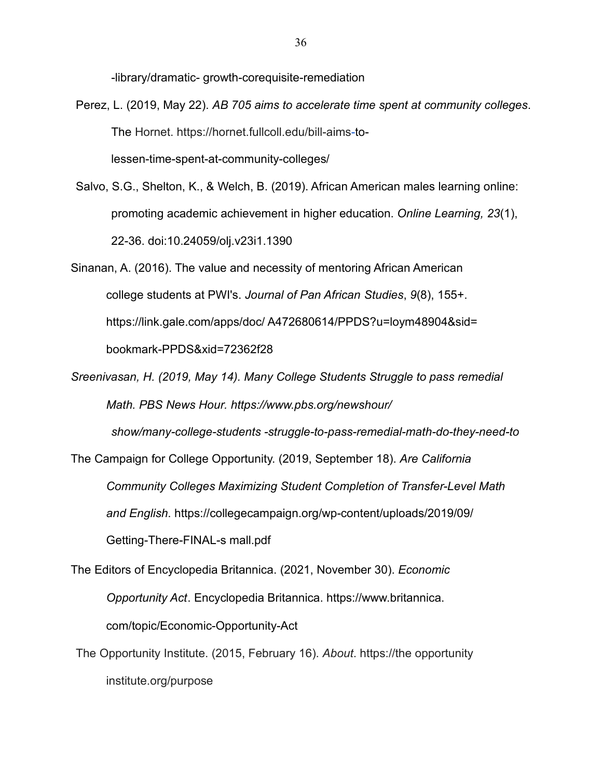-library/dramatic- [growth-corequisite-remediation](https://strongstart.org/deepening-understanding/resource-library/dramatic-growth-corequisite-remediation)

- Perez, L. (2019, May 22). *AB 705 aims to accelerate time spent at community colleges*. [The](https://hornet.fullcoll.edu/bill-aims-to-lessen-) [Hornet. https://hornet.fullcoll.edu/bill-aims-](https://hornet.fullcoll.edu/bill-aims-)[to](https://hornet.fullcoll.edu/bill-aims-to-lessen-)[lessen-time-spent-at-community-colleges/](https://hornet.fullcoll.edu/bill-aims-to-lessen-time-spent-at-community-colleges/)
- Salvo, S.G., Shelton, K., & Welch, B. (2019). African American males learning online: promoting academic achievement in higher education. *Online Learning, 23*(1), 22-36. doi:10.24059/olj.v23i1.1390
- Sinanan, A. (2016). The value and necessity of mentoring African American college students at PWI's. *Journal of Pan African Studies*, *9*(8), 155+[.](https://link.gale.com/apps/doc/A472680614/PPDS?u=loym48904&amp%3Bsid=bookmark-PPDS&amp%3Bxid=72362f28) https://link.gale.com/apps/doc/ [A472680614/PPDS?u=loym48904&sid=](https://link.gale.com/apps/doc/A472680614/PPDS?u=loym48904&amp%3Bsid=bookmark-PPDS&amp%3Bxid=72362f28) [bookmark-PPDS&xid=72362f28](https://link.gale.com/apps/doc/A472680614/PPDS?u=loym48904&amp%3Bsid=bookmark-PPDS&amp%3Bxid=72362f28)
- *Sreenivasan, H. (2019, May 14). Many College Students Struggle to pass remedial [Math. PBS News Hour. https://www.pbs.org/newshour/](https://www.pbs.org/newshour/show/many-college-students-struggle-to-pass-remedial-math-do-they-need-to)*

*[show/many-college-students -struggle-to-pass-remedial-math-do-they-need-to](https://www.pbs.org/newshour/show/many-college-students-struggle-to-pass-remedial-math-do-they-need-to)*

The Campaign for College Opportunity. (2019, September 18). *Are California Community Colleges Maximizing Student Completion of Transfer-Level Math and English*[. https://collegecampaign.org/wp-content/uploads/2019/09/](https://collegecampaign.org/wp-content/uploads/2019/09/Getting-There-FINAL-small.pdf) [Getting-There-FINAL-s mall.pdf](https://collegecampaign.org/wp-content/uploads/2019/09/Getting-There-FINAL-small.pdf)

The Editors of Encyclopedia Britannica. (2021, November 30). *Economic Opportunity Act*. Encyclopedia Britannica. https://www.britannica. com/topic/Economic-Opportunity-Act

The Opportunity Institute. (2015, February 16). *About*. https://the opportunity institute.org/purpose